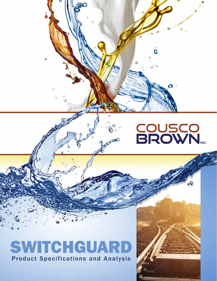# COUSCO<br>BROWN

# SWITCHGUAR Product Specifications and Analysis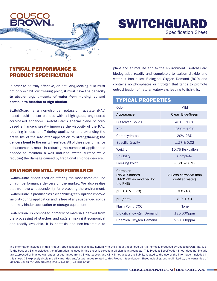

## SWITCHGUARD Specification Sheet

#### TYPICAL PERFORMANCE & PRODUCT SPECIFICATION

In order to be truly effective, an anti-icing/deicing fluid must not only exhibit low freezing point, it must have the capacity to absorb large amounts of water from melting ice and continue to function at high dilution.

SwitchGuard is a non-chloride, potassium acetate (KAc) based liquid de-icer blended with a high grade, engineered corn-based enhancer. SwitchGuard's special blend of cornbased enhancers greatly improves the viscosity of the KAc, resulting in less runoff during application and extending the active life of the KAc after application by strengthening the de-icers bond to the switch surface. All of these performance enhancements result in reducing the number of applications needed to maintain a well anti-iced switch surface while reducing the damage caused by traditional chloride de-icers.

#### ENVIRONMENTAL PERFORMANCE

SwitchGuard prides itself on offering the most complete line of high performance de-icers on the market. We also realize that we have a responsibility for protecting the environment. SwitchGuard is produced as a clear blue-green liquid to improve visibility during application and is free of any suspended solids that may hinder application or storage equipment.

SwitchGuard is composed primarily of materials derived from the processing of starches and sugars making it economical and readily available. It is nontoxic and non-hazardous to

plant and animal life and to the environment. SwitchGuard biodegrades readily and completely to carbon dioxide and water. It has a low Biological Oxygen Demand (BOD) and contains no phosphates or nitrogen that tends to promote eutrophication of natural waterways leading to fish-kills.

#### TYPICAL PROPERTIES

| Odor                                                              | Mild                                        |
|-------------------------------------------------------------------|---------------------------------------------|
| Appearance                                                        | Clear Blue-Green                            |
| <b>Dissolved Solids</b>                                           | $46\% + 1.0\%$                              |
| <b>KAc</b>                                                        | $25% + 1.0%$                                |
| Carbohydrates                                                     | 20%-23%                                     |
| <b>Specific Gravity</b>                                           | $1.27 + 0.02$                               |
| Weight                                                            | 10.75 lbs/gallon                            |
| Solubility                                                        | Complete                                    |
| <b>Freezing Point</b>                                             | $-38^{\circ}$ C ( $-36^{\circ}$ F)          |
| Corrosion<br>(NACE Sandard<br>TM-01-69 as modified by<br>the PNS) | -3 (less corrosive than<br>distilled water) |
| pH (ASTM E 70)                                                    | $6.0 - 8.0$                                 |
| pH (neat)                                                         | $8.0 - 10.0$                                |
| Flash Point, COC                                                  | <b>None</b>                                 |
| Biological Oxygen Demand                                          | 120,000ppm                                  |
| Chemical Oxygen Demand                                            | 260,000ppm                                  |

The information included in this Product Specification Sheet relate generally to the product described as it is normally produced by CouscoBrown, Inc. (CB) To the best of CB's knowledge, the information included in this sheet is correct in all significant respects. This Product Specification Sheet does not include any expressed or implied warranties or guaranties from CB whatsoever, and CB will not accept any liability related to the use of the information included in this sheet. CB expressly disclaims all warranties and/or guaranties related to this Product Specification Sheet including, but not limited to, the warranties of MERCHANTABILITY AND FITNESS FOR A PARTICULAR PURPOSE.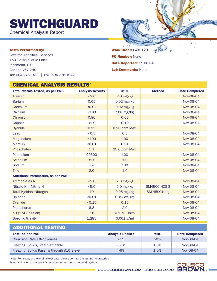SWITCHGUARD

Chemical Analysis Report



#### Tests Performed By:

Levelton Analytical Services 150-12791 Clarke Place Richmond, B.C. Canada V6V 2H9 Tel: 604.278.1411 | Fax: 604.278.1042 Work Order: 0410120 PO Number: None Date Reported: 11.08.04 Lab Comments: None

| <b>CHEMICAL ANALYSIS RESULTS*</b>        |                         |               |                     |                       |
|------------------------------------------|-------------------------|---------------|---------------------|-----------------------|
| <b>Total Metals Tested, as per PNS</b>   | <b>Analysis Results</b> | <b>MDL</b>    | <b>Method</b>       | <b>Date Completed</b> |
| Arsenic                                  | < 2.0                   | $2.0$ mg/kg   |                     | Nov-08-04             |
| <b>Barium</b>                            | 0.05                    | $0.02$ mg/kg  |                     | Nov-08-04             |
| Cadmium                                  | < 0.02                  | $0.02$ mg/kg  |                     | Nov-08-04             |
| Calcium                                  | < 100                   | 100 mg/kg     |                     | Nov-08-04             |
| Chromium                                 | 0.86                    | 0.05          |                     | Nov-08-04             |
| Copper                                   | < 1.0                   | 0.10          |                     | Nov-08-04             |
| Cyanide                                  | 0.15                    | 0.20 ppm Max. |                     |                       |
| Lead                                     | < 0.5                   | 0.5           |                     | Nov-08-04             |
| <b>Magnesium</b>                         | < 100                   | 100           |                     | Nov-08-04             |
| Mercury                                  | < 0.01                  | 0.01          |                     | Nov-08-04             |
| Phosphates                               | 1.1                     | 25.0 ppm Max. |                     |                       |
| Potassium                                | 99300                   | 100           |                     | Nov-08-04             |
| Selenium                                 | < 1.0                   | 1.0           |                     | Nov-08-04             |
| Sodium                                   | 357                     | 100           |                     | Nov-08-04             |
| <b>Zinc</b>                              | 2.0                     | 1.0           |                     | Nov-08-04             |
| <b>Additional Parameters, as per PNS</b> |                         |               |                     |                       |
| Ammonia as N                             | < 2.0                   | $2.0$ mg/kg   |                     | Nov-08-04             |
| Nitrate-N + Nitrite-N                    | < 5.0                   | $5.0$ mg/kg   | <b>SM4500 NC3-G</b> | Nov-08-04             |
| <b>Total Kjeldahl Nitrogen</b>           | 19                      | $0.05$ mg/kg  | <b>SM 4500-Norg</b> | Nov-08-04             |
| Chloride                                 | < 0.01                  | 0.1% Weight   |                     | Nov-08-04             |
| Cyanide                                  | < 0.15                  | 0.15          |                     | Nov-08-04             |
| Phosphorus                               | 6.8                     | 2.0           |                     | Nov-08-04             |
| pH (1:4 Solution)                        | 7.6                     | 0.1 pH Units  |                     | Nov-08-04             |
| <b>Specific Gravity</b>                  | 1.283                   | $0.001$ g/ml  |                     | Nov-08-04             |

#### ADDITIONAL TESTING

| Test, as per PNS                           | <b>Analysis Results</b> | <b>MDL</b> | <b>Date Completed</b> |
|--------------------------------------------|-------------------------|------------|-----------------------|
| <b>Corrosion Rate Effectiveness</b>        | $-7.5$                  | 50%        | Nov-08-04             |
| Freezing: Solids, Total Settleable         | < 0.01                  | 1.0%       | Nov-08-04             |
| Freezing: Solids Passing through #10 Sieve | >99                     | 1.0%       | Nov-08-04             |

\*Note: For a copy of the original test data, please contact the testing laboratories listed and refer to the Work Order Number for the corresponding data.